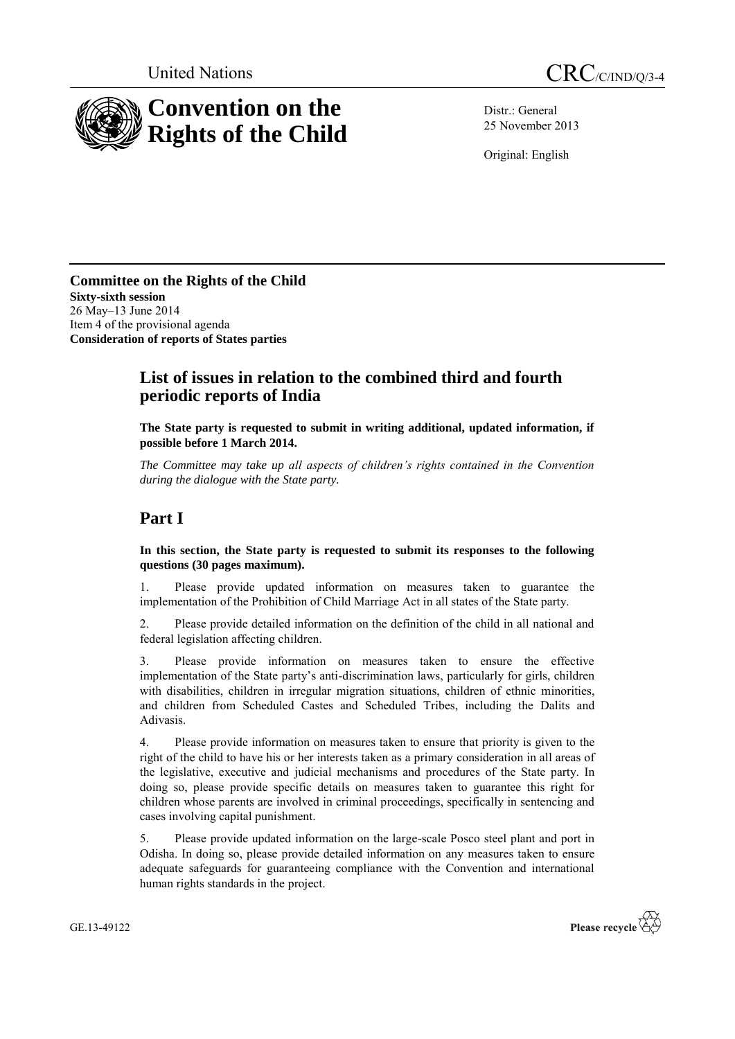



Distr.: General 25 November 2013

Original: English

**Committee on the Rights of the Child Sixty-sixth session** 26 May–13 June 2014 Item 4 of the provisional agenda **Consideration of reports of States parties**

## **List of issues in relation to the combined third and fourth periodic reports of India**

**The State party is requested to submit in writing additional, updated information, if possible before 1 March 2014.**

*The Committee may take up all aspects of children's rights contained in the Convention during the dialogue with the State party.* 

# **Part I**

**In this section, the State party is requested to submit its responses to the following questions (30 pages maximum).**

1. Please provide updated information on measures taken to guarantee the implementation of the Prohibition of Child Marriage Act in all states of the State party.

2. Please provide detailed information on the definition of the child in all national and federal legislation affecting children.

3. Please provide information on measures taken to ensure the effective implementation of the State party's anti-discrimination laws, particularly for girls, children with disabilities, children in irregular migration situations, children of ethnic minorities, and children from Scheduled Castes and Scheduled Tribes, including the Dalits and Adivasis.

4. Please provide information on measures taken to ensure that priority is given to the right of the child to have his or her interests taken as a primary consideration in all areas of the legislative, executive and judicial mechanisms and procedures of the State party. In doing so, please provide specific details on measures taken to guarantee this right for children whose parents are involved in criminal proceedings, specifically in sentencing and cases involving capital punishment.

5. Please provide updated information on the large-scale Posco steel plant and port in Odisha. In doing so, please provide detailed information on any measures taken to ensure adequate safeguards for guaranteeing compliance with the Convention and international human rights standards in the project.

GE.13-49122

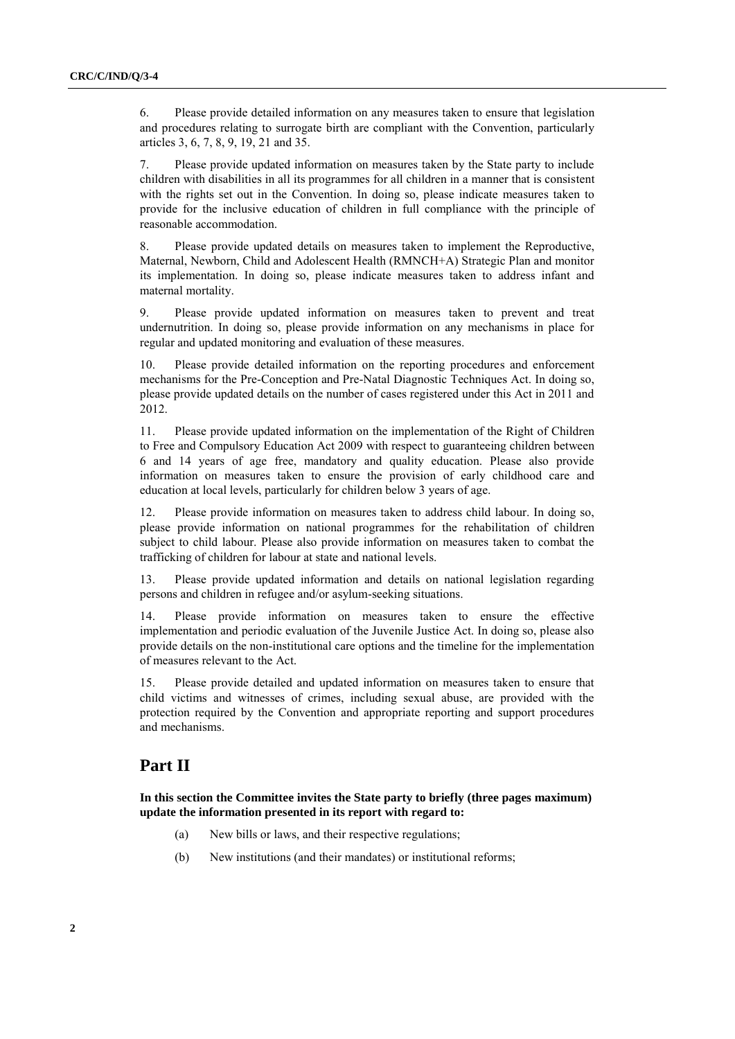6. Please provide detailed information on any measures taken to ensure that legislation and procedures relating to surrogate birth are compliant with the Convention, particularly articles 3, 6, 7, 8, 9, 19, 21 and 35.

7. Please provide updated information on measures taken by the State party to include children with disabilities in all its programmes for all children in a manner that is consistent with the rights set out in the Convention. In doing so, please indicate measures taken to provide for the inclusive education of children in full compliance with the principle of reasonable accommodation.

8. Please provide updated details on measures taken to implement the Reproductive, Maternal, Newborn, Child and Adolescent Health (RMNCH+A) Strategic Plan and monitor its implementation. In doing so, please indicate measures taken to address infant and maternal mortality.

9. Please provide updated information on measures taken to prevent and treat undernutrition. In doing so, please provide information on any mechanisms in place for regular and updated monitoring and evaluation of these measures.

10. Please provide detailed information on the reporting procedures and enforcement mechanisms for the Pre-Conception and Pre-Natal Diagnostic Techniques Act. In doing so, please provide updated details on the number of cases registered under this Act in 2011 and 2012.

11. Please provide updated information on the implementation of the Right of Children to Free and Compulsory Education Act 2009 with respect to guaranteeing children between 6 and 14 years of age free, mandatory and quality education. Please also provide information on measures taken to ensure the provision of early childhood care and education at local levels, particularly for children below 3 years of age.

12. Please provide information on measures taken to address child labour. In doing so, please provide information on national programmes for the rehabilitation of children subject to child labour. Please also provide information on measures taken to combat the trafficking of children for labour at state and national levels.

13. Please provide updated information and details on national legislation regarding persons and children in refugee and/or asylum-seeking situations.

14. Please provide information on measures taken to ensure the effective implementation and periodic evaluation of the Juvenile Justice Act. In doing so, please also provide details on the non-institutional care options and the timeline for the implementation of measures relevant to the Act.

15. Please provide detailed and updated information on measures taken to ensure that child victims and witnesses of crimes, including sexual abuse, are provided with the protection required by the Convention and appropriate reporting and support procedures and mechanisms.

### **Part II**

**In this section the Committee invites the State party to briefly (three pages maximum) update the information presented in its report with regard to:**

- (a) New bills or laws, and their respective regulations;
- (b) New institutions (and their mandates) or institutional reforms;